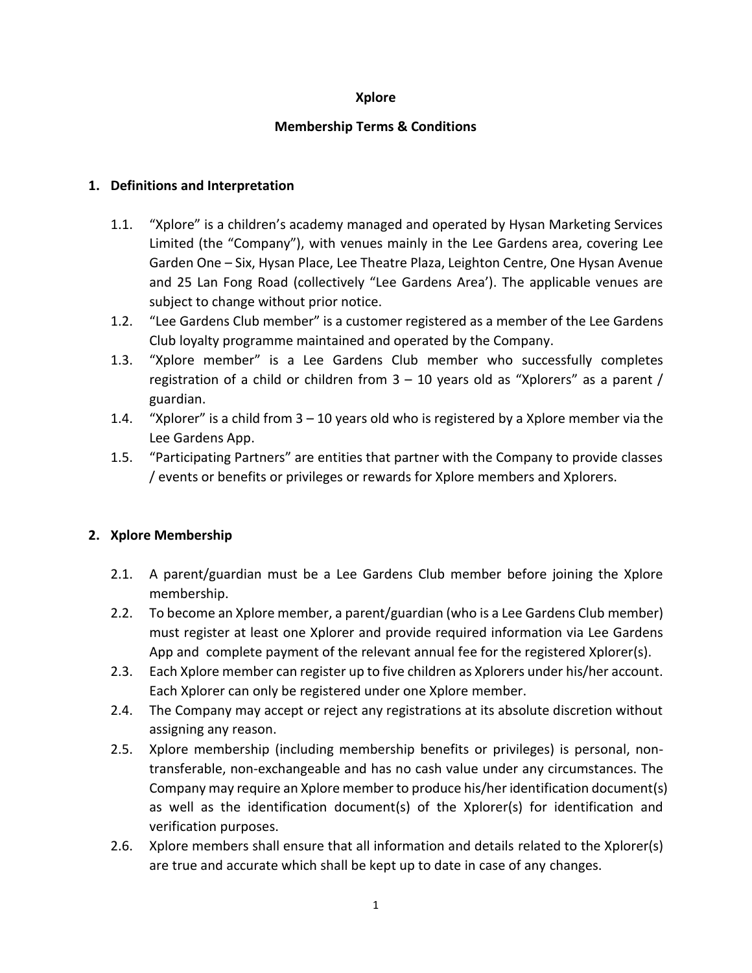### **Xplore**

### **Membership Terms & Conditions**

### **1. Definitions and Interpretation**

- 1.1. "Xplore" is a children's academy managed and operated by Hysan Marketing Services Limited (the "Company"), with venues mainly in the Lee Gardens area, covering Lee Garden One – Six, Hysan Place, Lee Theatre Plaza, Leighton Centre, One Hysan Avenue and 25 Lan Fong Road (collectively "Lee Gardens Area'). The applicable venues are subject to change without prior notice.
- 1.2. "Lee Gardens Club member" is a customer registered as a member of the Lee Gardens Club loyalty programme maintained and operated by the Company.
- 1.3. "Xplore member" is a Lee Gardens Club member who successfully completes registration of a child or children from  $3 - 10$  years old as "Xplorers" as a parent / guardian.
- 1.4. "Xplorer" is a child from 3 10 years old who is registered by a Xplore member via the Lee Gardens App.
- 1.5. "Participating Partners" are entities that partner with the Company to provide classes / events or benefits or privileges or rewards for Xplore members and Xplorers.

## **2. Xplore Membership**

- 2.1. A parent/guardian must be a Lee Gardens Club member before joining the Xplore membership.
- 2.2. To become an Xplore member, a parent/guardian (who is a Lee Gardens Club member) must register at least one Xplorer and provide required information via Lee Gardens App and complete payment of the relevant annual fee for the registered Xplorer(s).
- 2.3. Each Xplore member can register up to five children as Xplorers under his/her account. Each Xplorer can only be registered under one Xplore member.
- 2.4. The Company may accept or reject any registrations at its absolute discretion without assigning any reason.
- 2.5. Xplore membership (including membership benefits or privileges) is personal, nontransferable, non-exchangeable and has no cash value under any circumstances. The Company may require an Xplore member to produce his/her identification document(s) as well as the identification document(s) of the Xplorer(s) for identification and verification purposes.
- 2.6. Xplore members shall ensure that all information and details related to the Xplorer(s) are true and accurate which shall be kept up to date in case of any changes.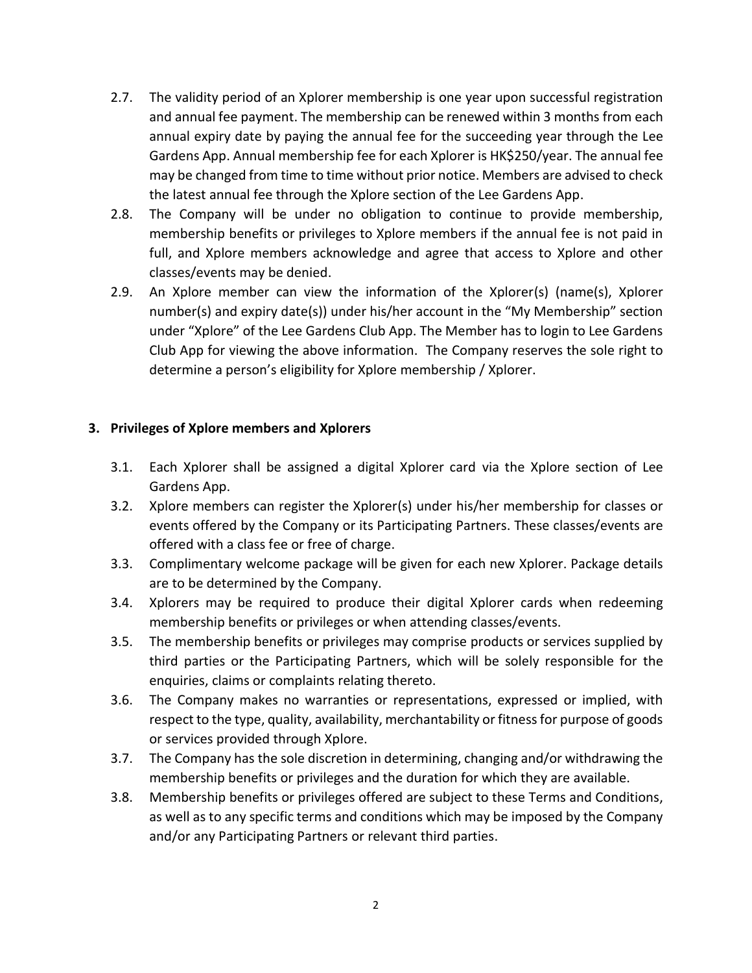- 2.7. The validity period of an Xplorer membership is one year upon successful registration and annual fee payment. The membership can be renewed within 3 months from each annual expiry date by paying the annual fee for the succeeding year through the Lee Gardens App. Annual membership fee for each Xplorer is HK\$250/year. The annual fee may be changed from time to time without prior notice. Members are advised to check the latest annual fee through the Xplore section of the Lee Gardens App.
- 2.8. The Company will be under no obligation to continue to provide membership, membership benefits or privileges to Xplore members if the annual fee is not paid in full, and Xplore members acknowledge and agree that access to Xplore and other classes/events may be denied.
- 2.9. An Xplore member can view the information of the Xplorer(s) (name(s), Xplorer number(s) and expiry date(s)) under his/her account in the "My Membership" section under "Xplore" of the Lee Gardens Club App. The Member has to login to Lee Gardens Club App for viewing the above information. The Company reserves the sole right to determine a person's eligibility for Xplore membership / Xplorer.

## **3. Privileges of Xplore members and Xplorers**

- 3.1. Each Xplorer shall be assigned a digital Xplorer card via the Xplore section of Lee Gardens App.
- 3.2. Xplore members can register the Xplorer(s) under his/her membership for classes or events offered by the Company or its Participating Partners. These classes/events are offered with a class fee or free of charge.
- 3.3. Complimentary welcome package will be given for each new Xplorer. Package details are to be determined by the Company.
- 3.4. Xplorers may be required to produce their digital Xplorer cards when redeeming membership benefits or privileges or when attending classes/events.
- 3.5. The membership benefits or privileges may comprise products or services supplied by third parties or the Participating Partners, which will be solely responsible for the enquiries, claims or complaints relating thereto.
- 3.6. The Company makes no warranties or representations, expressed or implied, with respect to the type, quality, availability, merchantability or fitness for purpose of goods or services provided through Xplore.
- 3.7. The Company has the sole discretion in determining, changing and/or withdrawing the membership benefits or privileges and the duration for which they are available.
- 3.8. Membership benefits or privileges offered are subject to these Terms and Conditions, as well as to any specific terms and conditions which may be imposed by the Company and/or any Participating Partners or relevant third parties.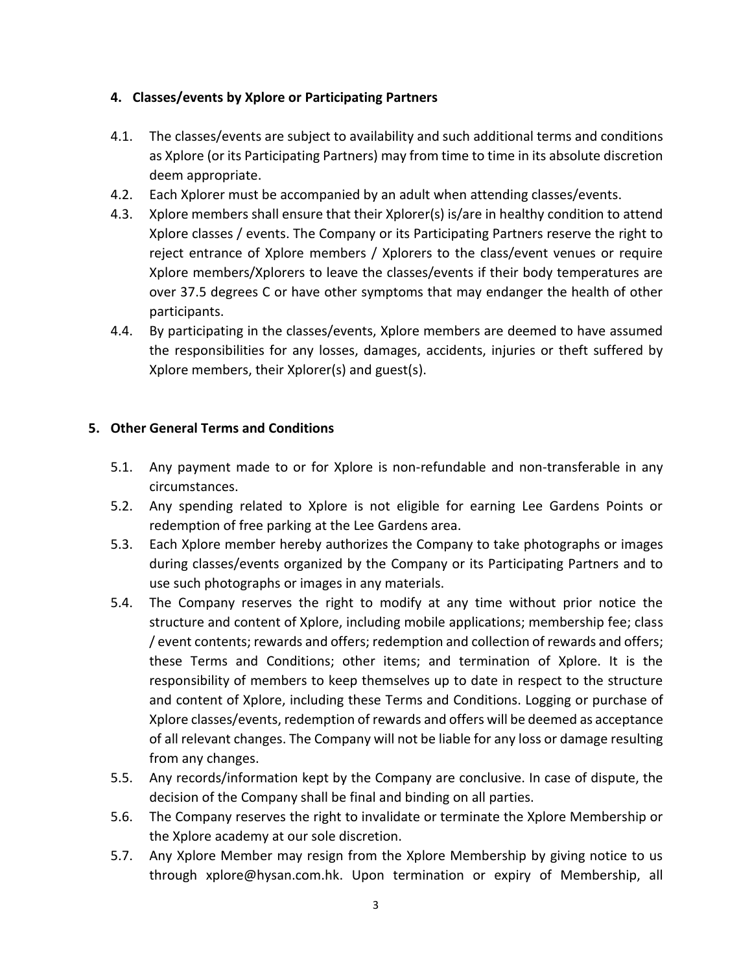## **4. Classes/events by Xplore or Participating Partners**

- 4.1. The classes/events are subject to availability and such additional terms and conditions as Xplore (or its Participating Partners) may from time to time in its absolute discretion deem appropriate.
- 4.2. Each Xplorer must be accompanied by an adult when attending classes/events.
- 4.3. Xplore members shall ensure that their Xplorer(s) is/are in healthy condition to attend Xplore classes / events. The Company or its Participating Partners reserve the right to reject entrance of Xplore members / Xplorers to the class/event venues or require Xplore members/Xplorers to leave the classes/events if their body temperatures are over 37.5 degrees C or have other symptoms that may endanger the health of other participants.
- 4.4. By participating in the classes/events, Xplore members are deemed to have assumed the responsibilities for any losses, damages, accidents, injuries or theft suffered by Xplore members, their Xplorer(s) and guest(s).

# **5. Other General Terms and Conditions**

- 5.1. Any payment made to or for Xplore is non-refundable and non-transferable in any circumstances.
- 5.2. Any spending related to Xplore is not eligible for earning Lee Gardens Points or redemption of free parking at the Lee Gardens area.
- 5.3. Each Xplore member hereby authorizes the Company to take photographs or images during classes/events organized by the Company or its Participating Partners and to use such photographs or images in any materials.
- 5.4. The Company reserves the right to modify at any time without prior notice the structure and content of Xplore, including mobile applications; membership fee; class / event contents; rewards and offers; redemption and collection of rewards and offers; these Terms and Conditions; other items; and termination of Xplore. It is the responsibility of members to keep themselves up to date in respect to the structure and content of Xplore, including these Terms and Conditions. Logging or purchase of Xplore classes/events, redemption of rewards and offers will be deemed as acceptance of all relevant changes. The Company will not be liable for any loss or damage resulting from any changes.
- 5.5. Any records/information kept by the Company are conclusive. In case of dispute, the decision of the Company shall be final and binding on all parties.
- 5.6. The Company reserves the right to invalidate or terminate the Xplore Membership or the Xplore academy at our sole discretion.
- 5.7. Any Xplore Member may resign from the Xplore Membership by giving notice to us through [xplore@hysan.com.hk.](mailto:xplore@hysan.com.hk) Upon termination or expiry of Membership, all